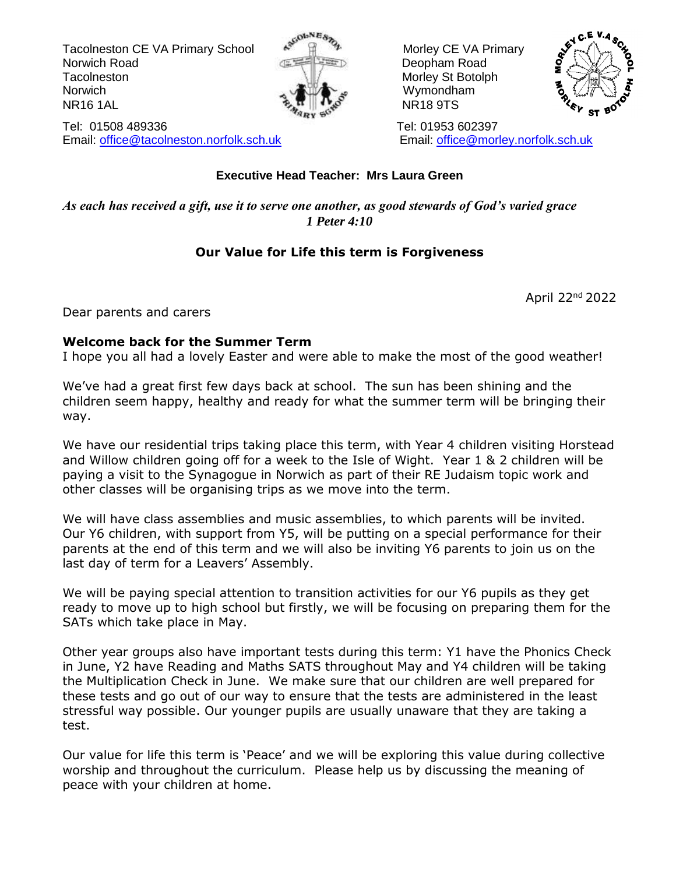Tacolneston CE VA Primary School  $\mathbb{R}^{\mathbb{N}}$   $\mathbb{R}^{\mathbb{N}}$  Morley CE VA Primary Norwich Road Deopham Road Tacolneston Morley St Botolph Morley St Botolph Norwich Norwich **Wymondham** NR16 1AL NR18 9TS





#### Tel: 01508 489336 Tel: 01953 602397 Email: [office@tacolneston.norfolk.sch.uk](mailto:office@tacolneston.norfolk.sch.uk) Email: [office@morley.norfolk.sch.uk](mailto:office@morley.norfolk.sch.uk)

#### **Executive Head Teacher: Mrs Laura Green**

*As each has received a gift, use it to serve one another, as good stewards of God's varied grace 1 Peter 4:10*

## **Our Value for Life this term is Forgiveness**

April 22nd 2022

Dear parents and carers

## **Welcome back for the Summer Term**

I hope you all had a lovely Easter and were able to make the most of the good weather!

We've had a great first few days back at school. The sun has been shining and the children seem happy, healthy and ready for what the summer term will be bringing their way.

We have our residential trips taking place this term, with Year 4 children visiting Horstead and Willow children going off for a week to the Isle of Wight. Year 1 & 2 children will be paying a visit to the Synagogue in Norwich as part of their RE Judaism topic work and other classes will be organising trips as we move into the term.

We will have class assemblies and music assemblies, to which parents will be invited. Our Y6 children, with support from Y5, will be putting on a special performance for their parents at the end of this term and we will also be inviting Y6 parents to join us on the last day of term for a Leavers' Assembly.

We will be paying special attention to transition activities for our Y6 pupils as they get ready to move up to high school but firstly, we will be focusing on preparing them for the SATs which take place in May.

Other year groups also have important tests during this term: Y1 have the Phonics Check in June, Y2 have Reading and Maths SATS throughout May and Y4 children will be taking the Multiplication Check in June. We make sure that our children are well prepared for these tests and go out of our way to ensure that the tests are administered in the least stressful way possible. Our younger pupils are usually unaware that they are taking a test.

Our value for life this term is 'Peace' and we will be exploring this value during collective worship and throughout the curriculum. Please help us by discussing the meaning of peace with your children at home.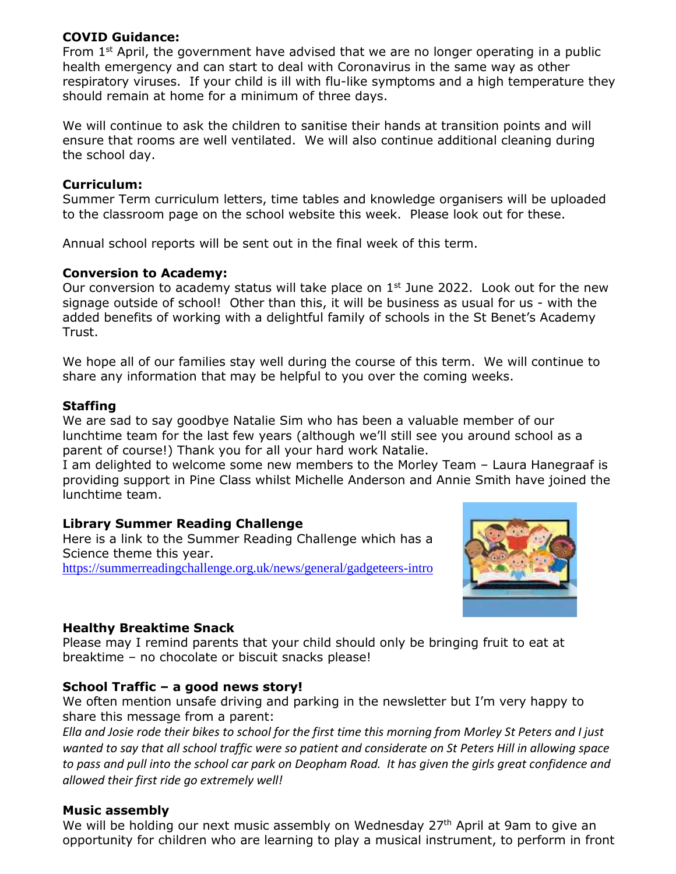#### **COVID Guidance:**

From  $1<sup>st</sup>$  April, the government have advised that we are no longer operating in a public health emergency and can start to deal with Coronavirus in the same way as other respiratory viruses. If your child is ill with flu-like symptoms and a high temperature they should remain at home for a minimum of three days.

We will continue to ask the children to sanitise their hands at transition points and will ensure that rooms are well ventilated. We will also continue additional cleaning during the school day.

#### **Curriculum:**

Summer Term curriculum letters, time tables and knowledge organisers will be uploaded to the classroom page on the school website this week. Please look out for these.

Annual school reports will be sent out in the final week of this term.

#### **Conversion to Academy:**

Our conversion to academy status will take place on  $1<sup>st</sup>$  June 2022. Look out for the new signage outside of school! Other than this, it will be business as usual for us - with the added benefits of working with a delightful family of schools in the St Benet's Academy Trust.

We hope all of our families stay well during the course of this term. We will continue to share any information that may be helpful to you over the coming weeks.

#### **Staffing**

We are sad to say goodbye Natalie Sim who has been a valuable member of our lunchtime team for the last few years (although we'll still see you around school as a parent of course!) Thank you for all your hard work Natalie.

I am delighted to welcome some new members to the Morley Team – Laura Hanegraaf is providing support in Pine Class whilst Michelle Anderson and Annie Smith have joined the lunchtime team.

#### **Library Summer Reading Challenge**

Here is a link to the Summer Reading Challenge which has a Science theme this year. <https://summerreadingchallenge.org.uk/news/general/gadgeteers-intro>



#### **Healthy Breaktime Snack**

Please may I remind parents that your child should only be bringing fruit to eat at breaktime – no chocolate or biscuit snacks please!

#### **School Traffic – a good news story!**

We often mention unsafe driving and parking in the newsletter but I'm very happy to share this message from a parent:

*Ella and Josie rode their bikes to school for the first time this morning from Morley St Peters and I just wanted to say that all school traffic were so patient and considerate on St Peters Hill in allowing space to pass and pull into the school car park on Deopham Road. It has given the girls great confidence and allowed their first ride go extremely well!* 

#### **Music assembly**

We will be holding our next music assembly on Wednesday 27<sup>th</sup> April at 9am to give an opportunity for children who are learning to play a musical instrument, to perform in front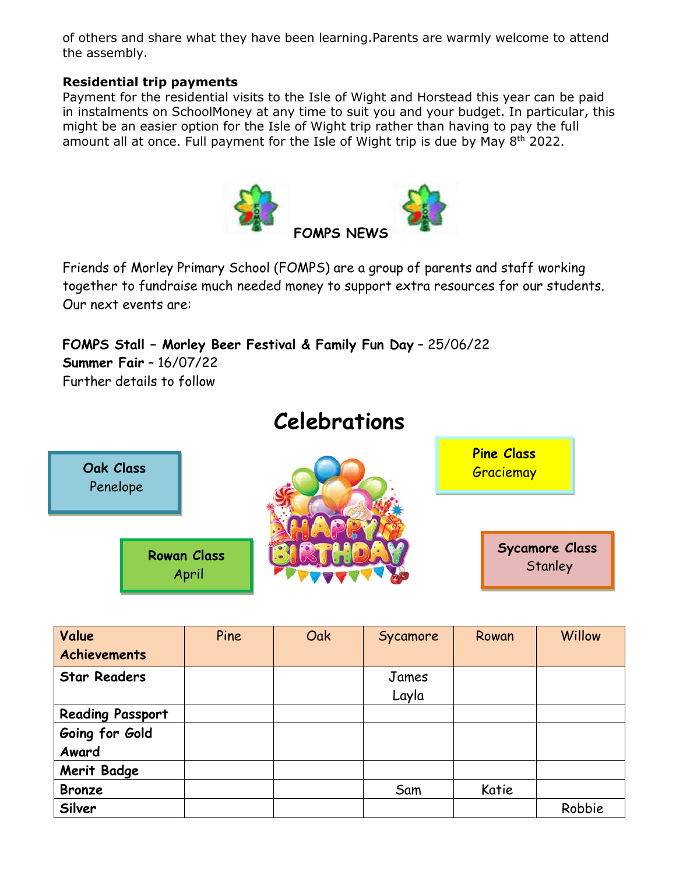of others and share what they have been learning.Parents are warmly welcome to attend the assembly.

#### **Residential trip payments**

Payment for the residential visits to the Isle of Wight and Horstead this year can be paid in instalments on SchoolMoney at any time to suit you and your budget. In particular, this might be an easier option for the Isle of Wight trip rather than having to pay the full amount all at once. Full payment for the Isle of Wight trip is due by May  $8<sup>th</sup>$  2022.



Friends of Morley Primary School (FOMPS) are a group of parents and staff working together to fundraise much needed money to support extra resources for our students. Our next events are:

**FOMPS Stall – Morley Beer Festival & Family Fun Day** – 25/06/22

**Summer Fair** – 16/07/22 Further details to follow

**Celebrations Sycamore Class Stanley Oak Class** Penelope **Rowan Class** April **Pine Class** Graciemay

| Value                   | Pine | Oak | Sycamore       | Rowan | Willow |
|-------------------------|------|-----|----------------|-------|--------|
| Achievements            |      |     |                |       |        |
| <b>Star Readers</b>     |      |     | James<br>Layla |       |        |
| <b>Reading Passport</b> |      |     |                |       |        |
| Going for Gold          |      |     |                |       |        |
| Award                   |      |     |                |       |        |
| Merit Badge             |      |     |                |       |        |
| <b>Bronze</b>           |      |     | Sam            | Katie |        |
| Silver                  |      |     |                |       | Robbie |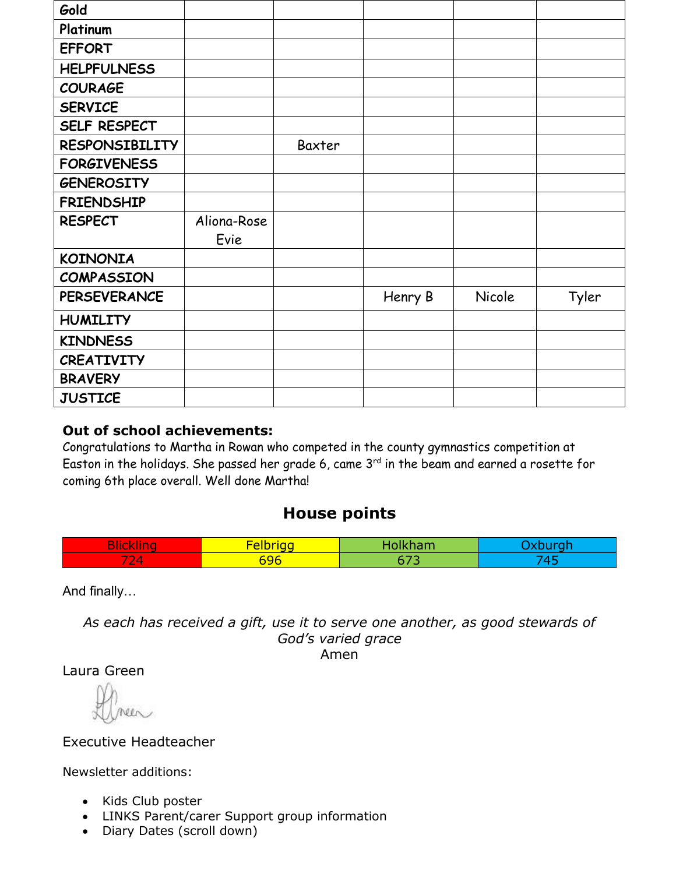| Gold                  |             |        |         |        |       |
|-----------------------|-------------|--------|---------|--------|-------|
| Platinum              |             |        |         |        |       |
| <b>EFFORT</b>         |             |        |         |        |       |
| <b>HELPFULNESS</b>    |             |        |         |        |       |
| <b>COURAGE</b>        |             |        |         |        |       |
| <b>SERVICE</b>        |             |        |         |        |       |
| SELF RESPECT          |             |        |         |        |       |
| <b>RESPONSIBILITY</b> |             | Baxter |         |        |       |
| <b>FORGIVENESS</b>    |             |        |         |        |       |
| <b>GENEROSITY</b>     |             |        |         |        |       |
| <b>FRIENDSHIP</b>     |             |        |         |        |       |
| <b>RESPECT</b>        | Aliona-Rose |        |         |        |       |
|                       | Evie        |        |         |        |       |
| <b>KOINONIA</b>       |             |        |         |        |       |
| <b>COMPASSION</b>     |             |        |         |        |       |
| <b>PERSEVERANCE</b>   |             |        | Henry B | Nicole | Tyler |
| <b>HUMILITY</b>       |             |        |         |        |       |
| <b>KINDNESS</b>       |             |        |         |        |       |
| <b>CREATIVITY</b>     |             |        |         |        |       |
| <b>BRAVERY</b>        |             |        |         |        |       |
| <b>JUSTICE</b>        |             |        |         |        |       |

## **Out of school achievements:**

Congratulations to Martha in Rowan who competed in the county gymnastics competition at Easton in the holidays. She passed her grade 6, came  $3<sup>rd</sup>$  in the beam and earned a rosette for coming 6th place overall. Well done Martha!

# **House points**

| $\sim$<br>$\sim$<br><b>SKIIN</b><br>-- | <b>Contract Contract Contract</b><br>$\sim$<br>$\sim$ $\sim$ $\sim$<br>-- | . .<br>Night. | . |
|----------------------------------------|---------------------------------------------------------------------------|---------------|---|
| $-1 - 1$<br>74<br>$\sim$<br>. .        | $\sim$<br><u> 696</u>                                                     | ---           |   |

And finally…

*As each has received a gift, use it to serve one another, as good stewards of God's varied grace*

Amen

Laura Green

Executive Headteacher

Newsletter additions:

- Kids Club poster
- LINKS Parent/carer Support group information
- Diary Dates (scroll down)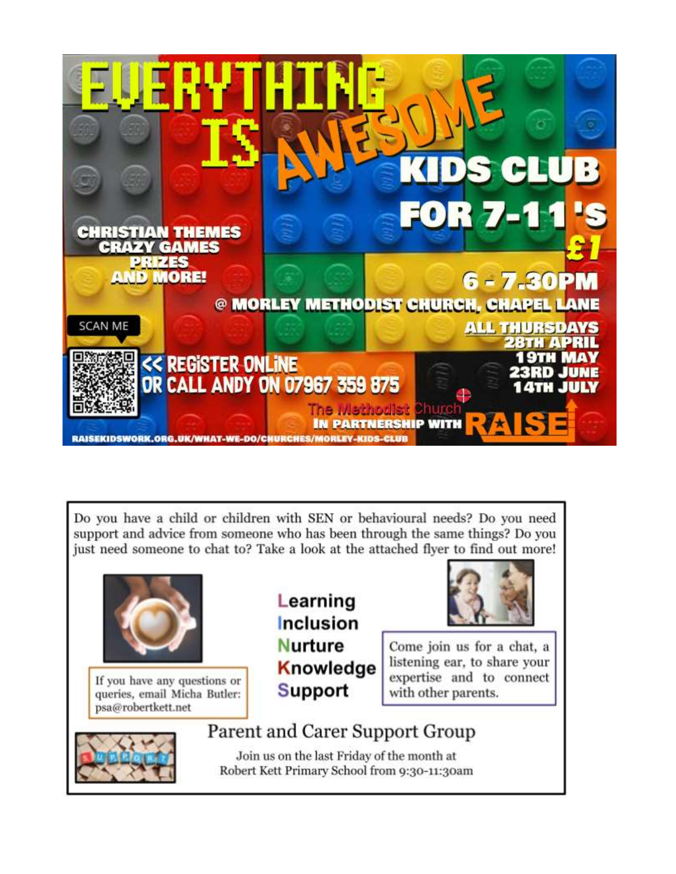

Do you have a child or children with SEN or behavioural needs? Do you need support and advice from someone who has been through the same things? Do you just need someone to chat to? Take a look at the attached flyer to find out more!



If you have any questions or queries, email Micha Butler: psa@robertkett.net

# Learning Inclusion **Nurture** Knowledge **Support**



Come join us for a chat, a listening ear, to share your expertise and to connect with other parents.



# Parent and Carer Support Group

Join us on the last Friday of the month at Robert Kett Primary School from 9:30-11:30am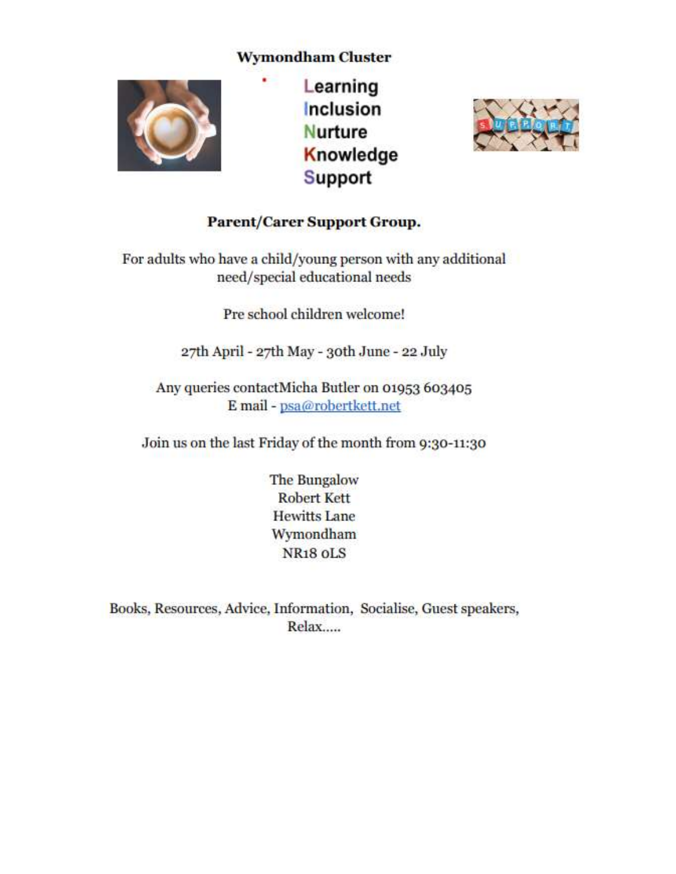## **Wymondham Cluster**



Learning Inclusion **Nurture** Knowledge **Support** 



## **Parent/Carer Support Group.**

For adults who have a child/young person with any additional need/special educational needs

Pre school children welcome!

27th April - 27th May - 30th June - 22 July

Any queries contactMicha Butler on 01953 603405 E mail - psa@robertkett.net

Join us on the last Friday of the month from 9:30-11:30

The Bungalow **Robert Kett Hewitts Lane** Wymondham **NR18 oLS** 

Books, Resources, Advice, Information, Socialise, Guest speakers, Relax.....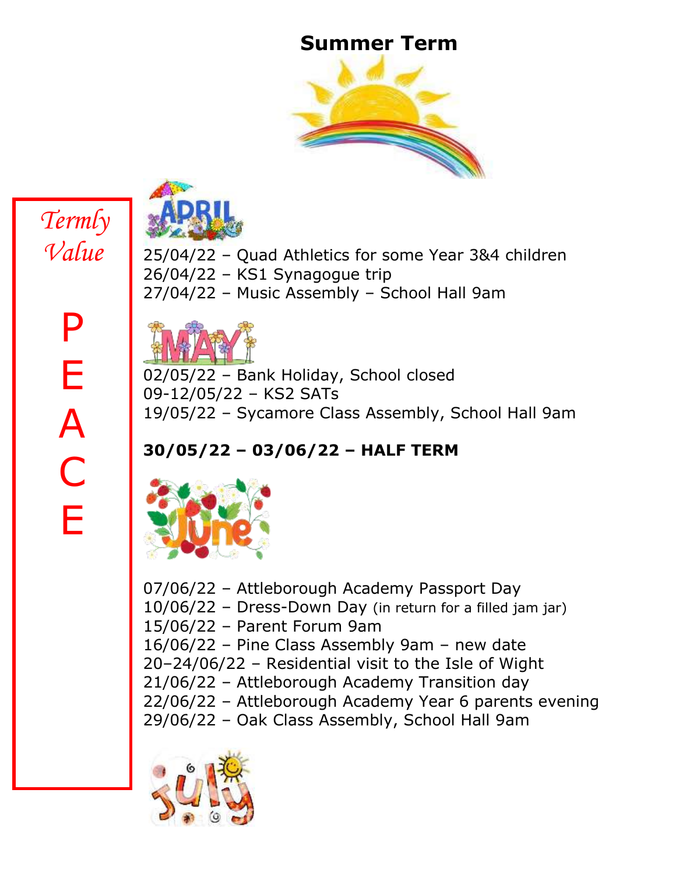# **Summer Term**



# *Termly Value*

P

E

A

C

E



25/04/22 – Quad Athletics for some Year 3&4 children 26/04/22 – KS1 Synagogue trip 27/04/22 – Music Assembly – School Hall 9am



02/05/22 – Bank Holiday, School closed 09-12/05/22 – KS2 SATs 19/05/22 – Sycamore Class Assembly, School Hall 9am

# **30/05/22 – 03/06/22 – HALF TERM**



07/06/22 – Attleborough Academy Passport Day 10/06/22 – Dress-Down Day (in return for a filled jam jar) 15/06/22 – Parent Forum 9am 16/06/22 – Pine Class Assembly 9am – new date 20–24/06/22 – Residential visit to the Isle of Wight 21/06/22 – Attleborough Academy Transition day 22/06/22 – Attleborough Academy Year 6 parents evening 29/06/22 – Oak Class Assembly, School Hall 9am